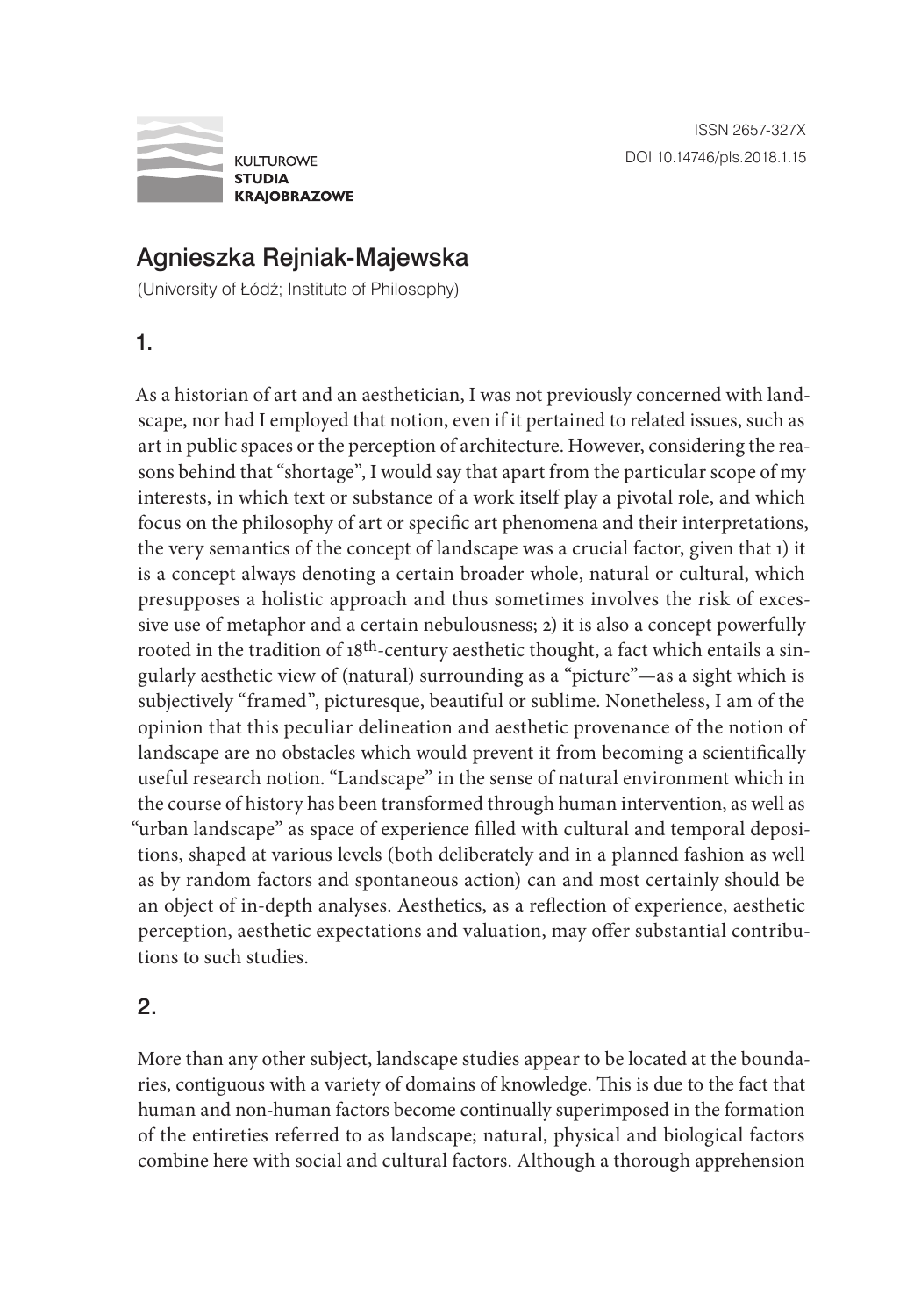

## Agnieszka Rejniak-Majewska

(University of Łódź; Institute of Philosophy)

1.

As a historian of art and an aesthetician, I was not previously concerned with landscape, nor had I employed that notion, even if it pertained to related issues, such as art in public spaces or the perception of architecture. However, considering the reasons behind that "shortage", I would say that apart from the particular scope of my interests, in which text or substance of a work itself play a pivotal role, and which focus on the philosophy of art or specific art phenomena and their interpretations, the very semantics of the concept of landscape was a crucial factor, given that 1) it is a concept always denoting a certain broader whole, natural or cultural, which presupposes a holistic approach and thus sometimes involves the risk of excessive use of metaphor and a certain nebulousness; 2) it is also a concept powerfully rooted in the tradition of  $18<sup>th</sup>$ -century aesthetic thought, a fact which entails a singularly aesthetic view of (natural) surrounding as a "picture"—as a sight which is subjectively "framed", picturesque, beautiful or sublime. Nonetheless, I am of the opinion that this peculiar delineation and aesthetic provenance of the notion of landscape are no obstacles which would prevent it from becoming a scientifically useful research notion. "Landscape" in the sense of natural environment which in the course of history has been transformed through human intervention, as well as "urban landscape" as space of experience filled with cultural and temporal depositions, shaped at various levels (both deliberately and in a planned fashion as well as by random factors and spontaneous action) can and most certainly should be an object of in-depth analyses. Aesthetics, as a reflection of experience, aesthetic perception, aesthetic expectations and valuation, may offer substantial contributions to such studies.

## 2.

More than any other subject, landscape studies appear to be located at the boundaries, contiguous with a variety of domains of knowledge. This is due to the fact that human and non-human factors become continually superimposed in the formation of the entireties referred to as landscape; natural, physical and biological factors combine here with social and cultural factors. Although a thorough apprehension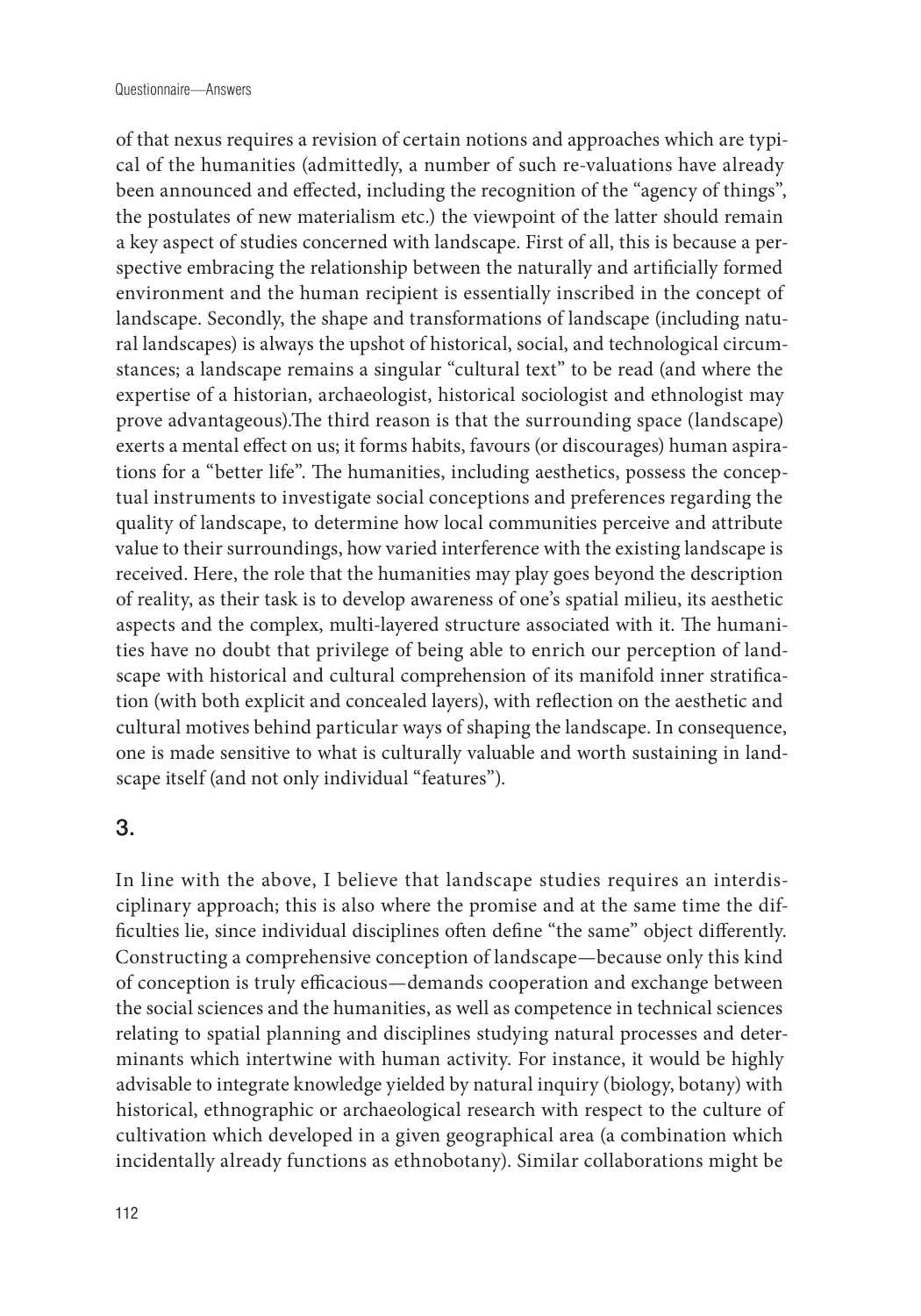of that nexus requires a revision of certain notions and approaches which are typical of the humanities (admittedly, a number of such re-valuations have already been announced and effected, including the recognition of the "agency of things", the postulates of new materialism etc.) the viewpoint of the latter should remain a key aspect of studies concerned with landscape. First of all, this is because a perspective embracing the relationship between the naturally and artificially formed environment and the human recipient is essentially inscribed in the concept of landscape. Secondly, the shape and transformations of landscape (including natural landscapes) is always the upshot of historical, social, and technological circumstances; a landscape remains a singular "cultural text" to be read (and where the expertise of a historian, archaeologist, historical sociologist and ethnologist may prove advantageous).The third reason is that the surrounding space (landscape) exerts a mental effect on us; it forms habits, favours (or discourages) human aspirations for a "better life". The humanities, including aesthetics, possess the conceptual instruments to investigate social conceptions and preferences regarding the quality of landscape, to determine how local communities perceive and attribute value to their surroundings, how varied interference with the existing landscape is received. Here, the role that the humanities may play goes beyond the description of reality, as their task is to develop awareness of one's spatial milieu, its aesthetic aspects and the complex, multi-layered structure associated with it. The humanities have no doubt that privilege of being able to enrich our perception of landscape with historical and cultural comprehension of its manifold inner stratification (with both explicit and concealed layers), with reflection on the aesthetic and cultural motives behind particular ways of shaping the landscape. In consequence, one is made sensitive to what is culturally valuable and worth sustaining in landscape itself (and not only individual "features").

## 3.

In line with the above, I believe that landscape studies requires an interdisciplinary approach; this is also where the promise and at the same time the difficulties lie, since individual disciplines often define "the same" object differently. Constructing a comprehensive conception of landscape—because only this kind of conception is truly efficacious—demands cooperation and exchange between the social sciences and the humanities, as well as competence in technical sciences relating to spatial planning and disciplines studying natural processes and determinants which intertwine with human activity. For instance, it would be highly advisable to integrate knowledge yielded by natural inquiry (biology, botany) with historical, ethnographic or archaeological research with respect to the culture of cultivation which developed in a given geographical area (a combination which incidentally already functions as ethnobotany). Similar collaborations might be